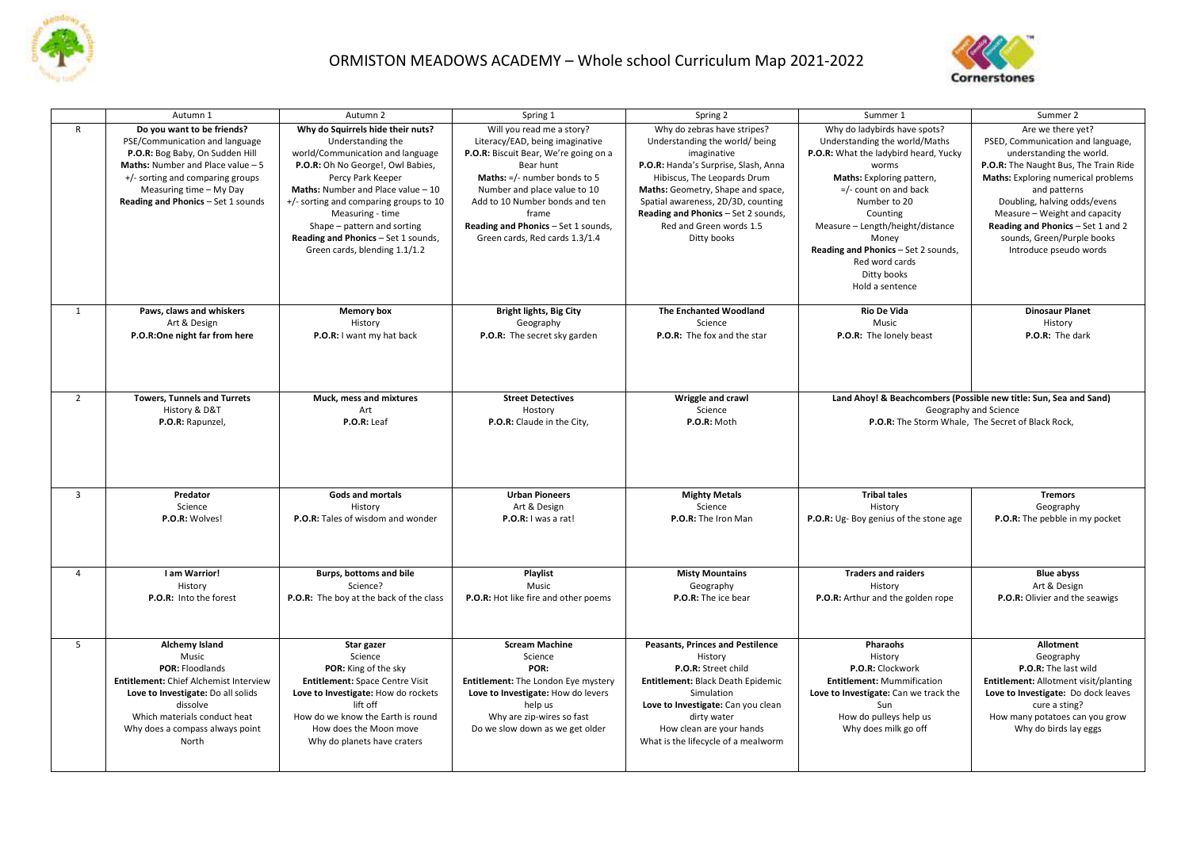

## ORMISTON MEADOWS ACADEMY – Whole school Curriculum Map 2021-2022



|                | Autumn 1                                            | Autumn 2                                | Spring 1                              | Spring 2                                | Summer 1                                                                                   | Summer 2                              |
|----------------|-----------------------------------------------------|-----------------------------------------|---------------------------------------|-----------------------------------------|--------------------------------------------------------------------------------------------|---------------------------------------|
| $\mathsf{R}$   | Do you want to be friends?                          | Why do Squirrels hide their nuts?       | Will you read me a story?             | Why do zebras have stripes?             | Why do ladybirds have spots?                                                               | Are we there yet?                     |
|                | PSE/Communication and language                      | Understanding the                       | Literacy/EAD, being imaginative       | Understanding the world/being           | Understanding the world/Maths                                                              | PSED, Communication and language,     |
|                | P.O.R: Bog Baby, On Sudden Hill                     | world/Communication and language        | P.O.R: Biscuit Bear, We're going on a | imaginative                             | P.O.R: What the ladybird heard, Yucky                                                      | understanding the world.              |
|                | Maths: Number and Place value - 5                   | P.O.R: Oh No George!, Owl Babies,       | Bear hunt                             | P.O.R: Handa's Surprise, Slash, Anna    | worms                                                                                      | P.O.R: The Naught Bus, The Train Ride |
|                | +/- sorting and comparing groups                    | Percy Park Keeper                       | Maths: =/- number bonds to 5          | Hibiscus, The Leopards Drum             | Maths: Exploring pattern,                                                                  | Maths: Exploring numerical problems   |
|                | Measuring time - My Day                             | Maths: Number and Place value - 10      | Number and place value to 10          | Maths: Geometry, Shape and space,       | $=$ /- count on and back                                                                   | and patterns                          |
|                | Reading and Phonics - Set 1 sounds                  | +/- sorting and comparing groups to 10  | Add to 10 Number bonds and ten        | Spatial awareness, 2D/3D, counting      | Number to 20                                                                               | Doubling, halving odds/evens          |
|                |                                                     | Measuring - time                        | frame                                 | Reading and Phonics - Set 2 sounds,     | Counting                                                                                   | Measure - Weight and capacity         |
|                |                                                     | Shape - pattern and sorting             | Reading and Phonics - Set 1 sounds,   | Red and Green words 1.5                 | Measure - Length/height/distance                                                           | Reading and Phonics - Set 1 and 2     |
|                |                                                     | Reading and Phonics - Set 1 sounds,     | Green cards, Red cards 1.3/1.4        | Ditty books                             | Money                                                                                      | sounds, Green/Purple books            |
|                |                                                     | Green cards, blending 1.1/1.2           |                                       |                                         | Reading and Phonics - Set 2 sounds,                                                        | Introduce pseudo words                |
|                |                                                     |                                         |                                       |                                         | Red word cards                                                                             |                                       |
|                |                                                     |                                         |                                       |                                         | Ditty books                                                                                |                                       |
|                |                                                     |                                         |                                       |                                         | Hold a sentence                                                                            |                                       |
|                |                                                     |                                         |                                       |                                         |                                                                                            |                                       |
| 1              | Paws, claws and whiskers                            | <b>Memory box</b>                       | <b>Bright lights, Big City</b>        | The Enchanted Woodland                  | Rio De Vida                                                                                | <b>Dinosaur Planet</b>                |
|                | Art & Design                                        | History                                 | Geography                             | Science                                 | Music                                                                                      | History                               |
|                | P.O.R:One night far from here                       | P.O.R: I want my hat back               | P.O.R: The secret sky garden          | P.O.R: The fox and the star             | P.O.R: The lonely beast                                                                    | P.O.R: The dark                       |
|                |                                                     |                                         |                                       |                                         |                                                                                            |                                       |
|                |                                                     |                                         |                                       |                                         |                                                                                            |                                       |
|                |                                                     |                                         |                                       |                                         |                                                                                            |                                       |
| $\overline{2}$ |                                                     |                                         |                                       |                                         |                                                                                            |                                       |
|                | <b>Towers, Tunnels and Turrets</b><br>History & D&T | Muck, mess and mixtures<br>Art          | <b>Street Detectives</b>              | Wriggle and crawl<br>Science            | Land Ahoy! & Beachcombers (Possible new title: Sun, Sea and Sand)<br>Geography and Science |                                       |
|                | P.O.R: Rapunzel,                                    | $P.O.R:$ Leaf                           | Hostory<br>P.O.R: Claude in the City, | P.O.R: Moth                             | P.O.R: The Storm Whale, The Secret of Black Rock,                                          |                                       |
|                |                                                     |                                         |                                       |                                         |                                                                                            |                                       |
|                |                                                     |                                         |                                       |                                         |                                                                                            |                                       |
|                |                                                     |                                         |                                       |                                         |                                                                                            |                                       |
|                |                                                     |                                         |                                       |                                         |                                                                                            |                                       |
|                |                                                     |                                         |                                       |                                         |                                                                                            |                                       |
| $\overline{3}$ | Predator                                            | Gods and mortals                        | <b>Urban Pioneers</b>                 | <b>Mighty Metals</b>                    | <b>Tribal tales</b>                                                                        | <b>Tremors</b>                        |
|                | Science                                             | History                                 | Art & Design                          | Science                                 | History                                                                                    | Geography                             |
|                | P.O.R: Wolves!                                      | P.O.R: Tales of wisdom and wonder       | P.O.R: I was a rat!                   | P.O.R: The Iron Man                     | P.O.R: Ug- Boy genius of the stone age                                                     | P.O.R: The pebble in my pocket        |
|                |                                                     |                                         |                                       |                                         |                                                                                            |                                       |
|                |                                                     |                                         |                                       |                                         |                                                                                            |                                       |
|                |                                                     |                                         |                                       |                                         |                                                                                            |                                       |
| $\overline{a}$ | I am Warrior!                                       | Burps, bottoms and bile<br>Science?     | Playlist<br>Music                     | <b>Misty Mountains</b><br>Geography     | <b>Traders and raiders</b>                                                                 | <b>Blue abyss</b><br>Art & Design     |
|                | History<br>P.O.R: Into the forest                   | P.O.R: The boy at the back of the class | P.O.R: Hot like fire and other poems  | P.O.R: The ice bear                     | History<br>P.O.R: Arthur and the golden rope                                               | P.O.R: Olivier and the seawigs        |
|                |                                                     |                                         |                                       |                                         |                                                                                            |                                       |
|                |                                                     |                                         |                                       |                                         |                                                                                            |                                       |
|                |                                                     |                                         |                                       |                                         |                                                                                            |                                       |
| 5              | Alchemy Island                                      | Star gazer                              | <b>Scream Machine</b>                 | <b>Peasants, Princes and Pestilence</b> | Pharaohs                                                                                   | <b>Allotment</b>                      |
|                | Music                                               | Science                                 | Science                               | History                                 | History                                                                                    | Geography                             |
|                | POR: Floodlands                                     | POR: King of the sky                    | POR:                                  | P.O.R: Street child                     | P.O.R: Clockwork                                                                           | P.O.R: The last wild                  |
|                | Entitlement: Chief Alchemist Interview              | Entitlement: Space Centre Visit         | Entitlement: The London Eye mystery   | Entitlement: Black Death Epidemic       | <b>Entitlement: Mummification</b>                                                          | Entitlement: Allotment visit/planting |
|                | Love to Investigate: Do all solids                  | Love to Investigate: How do rockets     | Love to Investigate: How do levers    | Simulation                              | Love to Investigate: Can we track the                                                      | Love to Investigate: Do dock leaves   |
|                | dissolve                                            | lift off                                | help us                               | Love to Investigate: Can you clean      | Sun                                                                                        | cure a sting?                         |
|                | Which materials conduct heat                        | How do we know the Earth is round       | Why are zip-wires so fast             | dirty water                             | How do pulleys help us                                                                     | How many potatoes can you grow        |
|                | Why does a compass always point                     | How does the Moon move                  | Do we slow down as we get older       | How clean are your hands                | Why does milk go off                                                                       | Why do birds lay eggs                 |
|                | North                                               | Why do planets have craters             |                                       | What is the lifecycle of a mealworm     |                                                                                            |                                       |
|                |                                                     |                                         |                                       |                                         |                                                                                            |                                       |
|                |                                                     |                                         |                                       |                                         |                                                                                            |                                       |